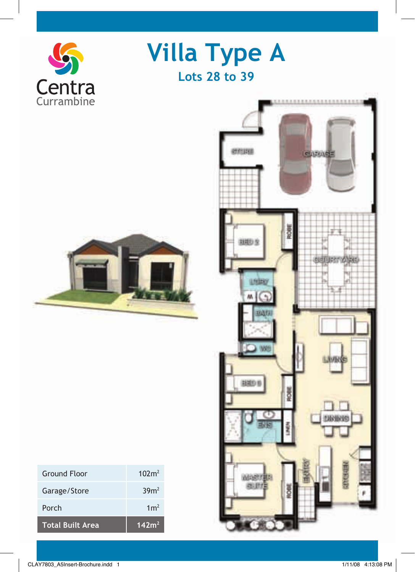

**Villa Type A Lots 28 to 39**



| <b>Total Built Area</b> | 142m <sup>2</sup> |
|-------------------------|-------------------|
| Porch                   | 1 <sup>2</sup>    |
| Garage/Store            | 39m <sup>2</sup>  |
| <b>Ground Floor</b>     | 102m <sup>2</sup> |

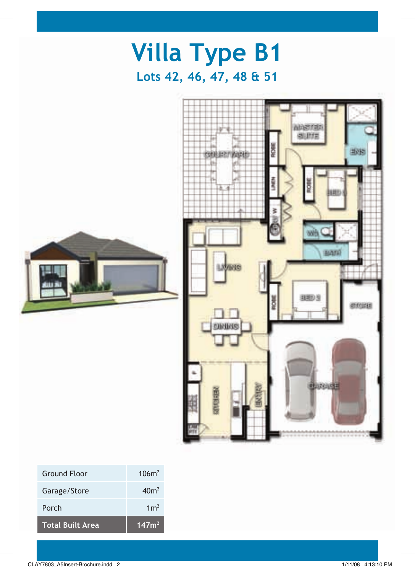

| <b>Total Built Area</b> | 147m <sup>2</sup> |
|-------------------------|-------------------|
| Porch                   | 1 <sup>2</sup>    |
| Garage/Store            | 40m <sup>2</sup>  |
| <b>Ground Floor</b>     | 106m <sup>2</sup> |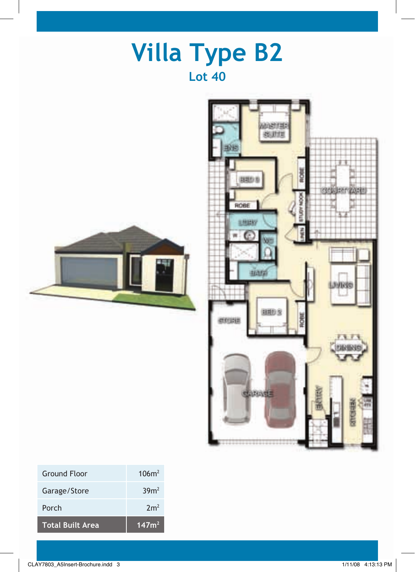

| <b>Total Built Area</b> | 147m <sup>2</sup> |
|-------------------------|-------------------|
| Porch                   | 2m <sup>2</sup>   |
| Garage/Store            | 39m <sup>2</sup>  |
| Ground Eloor            | 106m <sup>2</sup> |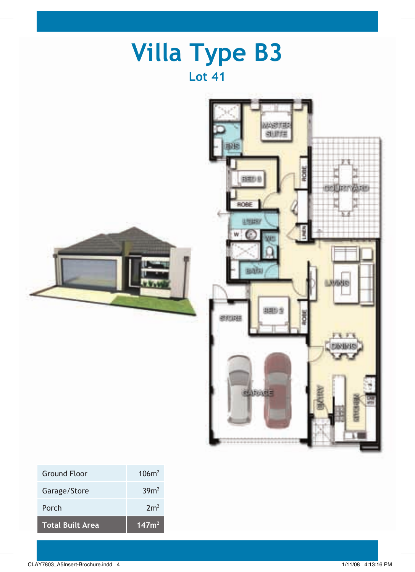

| <b>Total Built Area</b> | 147m <sup>2</sup> |
|-------------------------|-------------------|
| Porch                   | 2m <sup>2</sup>   |
| Garage/Store            | 39m <sup>2</sup>  |
| Ground Eloor            | $106m^2$          |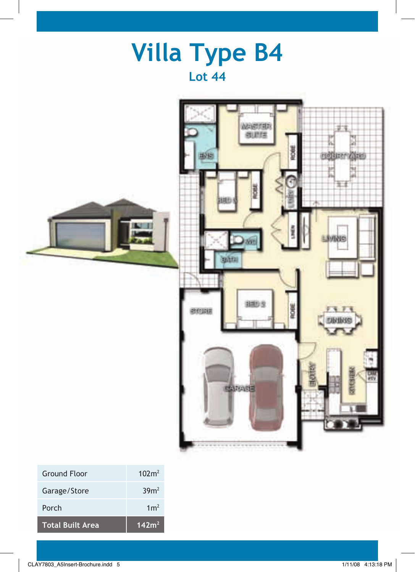| <b>Villa Type B4</b><br><b>Lot 44</b>                                                                                                                                           |
|---------------------------------------------------------------------------------------------------------------------------------------------------------------------------------|
| ARKETER<br>创建线<br>s<br><b>OHE</b><br><b>Gillan</b><br>业地<br>м<br>ŏ<br><b>SVING</b><br><b>SALLER</b><br><b>BBD 3</b><br>ROBE<br>ecuus<br>谨<br><b>Ukilitie</b><br><b>SEARCHER</b> |

| <b>Ground Floor</b>     | 102m <sup>2</sup> |
|-------------------------|-------------------|
| Garage/Store            | 39m <sup>2</sup>  |
| Porch                   | 1 <sup>2</sup>    |
| <b>Total Built Area</b> | 142m <sup>2</sup> |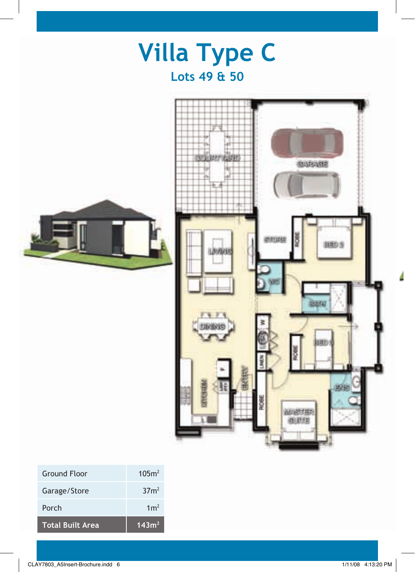

| <b>Ground Floor</b>     | 105m <sup>2</sup> |
|-------------------------|-------------------|
| Garage/Store            | 37 <sup>2</sup>   |
| Porch                   | 1 <sup>2</sup>    |
| <b>Total Built Area</b> | 143m <sup>2</sup> |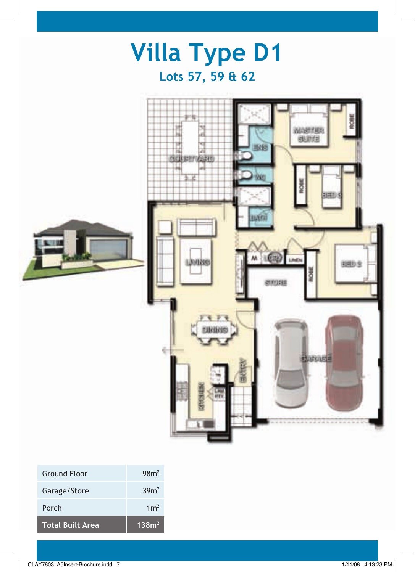

| <b>Ground Floor</b>     | 98 <sub>m²</sub>  |
|-------------------------|-------------------|
| Garage/Store            | 39m <sup>2</sup>  |
| Porch                   | 1m <sup>2</sup>   |
| <b>Total Built Area</b> | 138m <sup>2</sup> |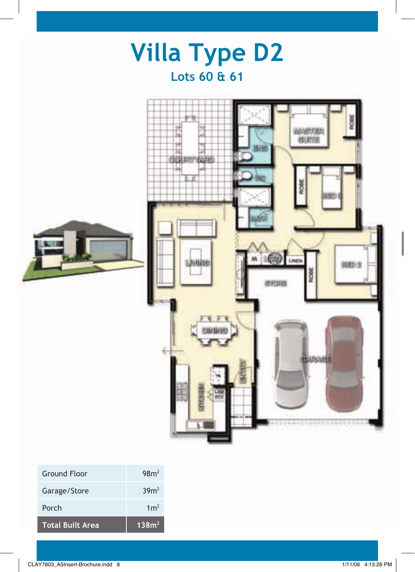

| <b>Total Built Area</b> | 138m <sup>2</sup> |
|-------------------------|-------------------|
| Porch                   | 1m <sup>2</sup>   |
| Garage/Store            | 39m <sup>2</sup>  |
| GIUUIIU FIUUI           | 70111             |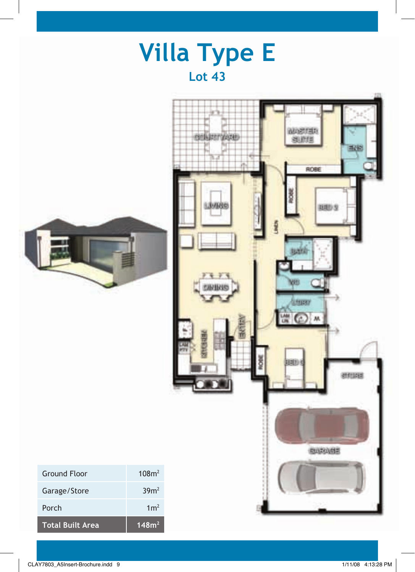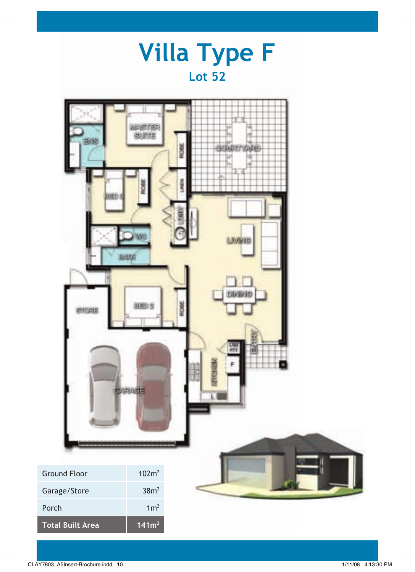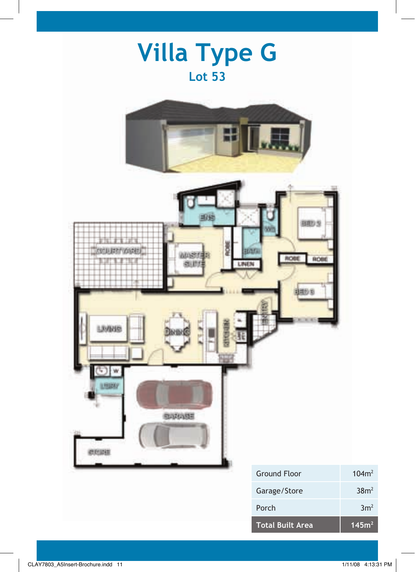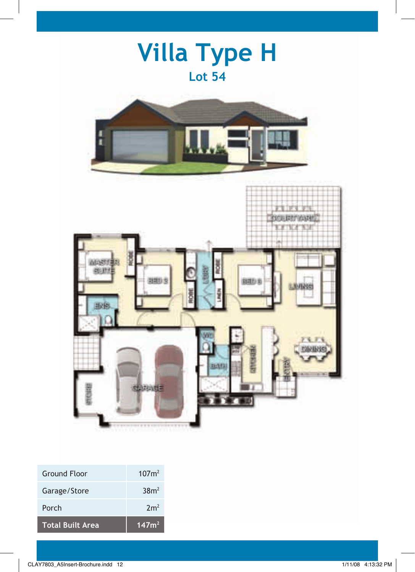

| Total Built Area | 147m <sup>2</sup> |
|------------------|-------------------|
| Porch            | 2m <sup>2</sup>   |
| Garage/Store     | 38m <sup>2</sup>  |
|                  |                   |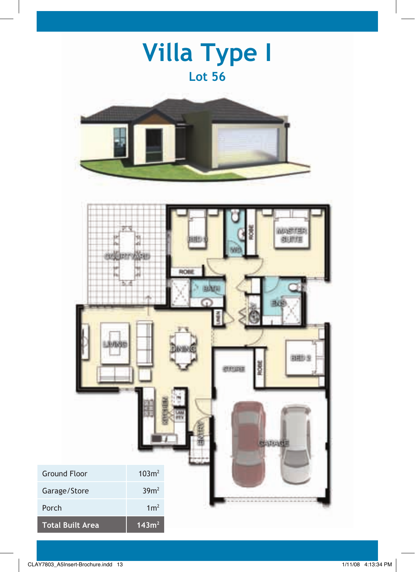|                                  |                                      | <b>Villa Type I</b><br><b>Lot 56</b>                                  |
|----------------------------------|--------------------------------------|-----------------------------------------------------------------------|
|                                  |                                      |                                                                       |
| 小线                               |                                      | 高度建設信息<br>RON<br>ishra<br><b>RHDS</b><br>8<br>ercura<br><b>BARAGE</b> |
| <b>Ground Floor</b>              | 103m <sup>2</sup>                    |                                                                       |
| Garage/Store                     | 39m <sup>2</sup>                     |                                                                       |
| Porch<br><b>Total Built Area</b> | 1m <sup>2</sup><br>143m <sup>2</sup> |                                                                       |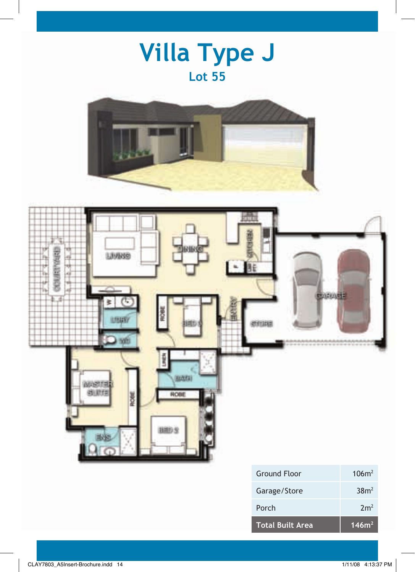





| <b>Total Built Area</b> | 146m <sup>2</sup> |
|-------------------------|-------------------|
| Porch                   | 2m <sup>2</sup>   |
| Garage/Store            | 38m <sup>2</sup>  |
| Ground Floor            | 106m <sup>2</sup> |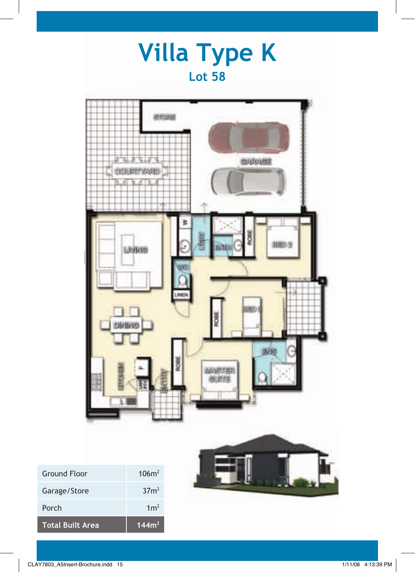## **Villa Type K Lot 58**



| <b>Total Built Area</b> | 144m <sup>2</sup> |
|-------------------------|-------------------|
| Porch                   | 1 <sup>2</sup>    |
| Garage/Store            | 37 <sup>2</sup>   |
| <b>Ground Floor</b>     | 106m <sup>2</sup> |